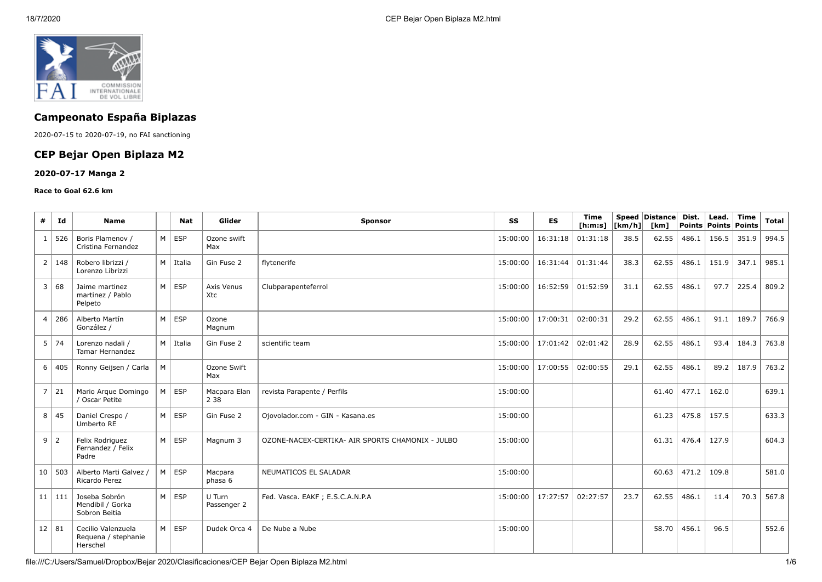

# **Campeonato España Biplazas**

2020-07-15 to 2020-07-19, no FAI sanctioning

# **CEP Bejar Open Biplaza M2**

### **2020-07-17 Manga 2**

#### **Race to Goal 62.6 km**

| #              | Id         | <b>Name</b>                                           |   | Nat             | Glider                | Sponsor                                          | SS       | <b>ES</b> | Time<br>[ <b>h</b> : <b>m</b> : <b>s</b> ] | [km/h] | Speed Distance<br>[km] | Dist.<br>Points | Lead.<br><b>Points</b> | <b>Time</b><br>Points | <b>Total</b> |
|----------------|------------|-------------------------------------------------------|---|-----------------|-----------------------|--------------------------------------------------|----------|-----------|--------------------------------------------|--------|------------------------|-----------------|------------------------|-----------------------|--------------|
| $\mathbf{1}$   | 526        | Boris Plamenov /<br>Cristina Fernandez                |   | $M \vert$ ESP   | Ozone swift<br>Max    |                                                  | 15:00:00 | 16:31:18  | 01:31:18                                   | 38.5   | 62.55                  | 486.1           | 156.5                  | 351.9                 | 994.5        |
| $\overline{2}$ | 148        | Robero librizzi /<br>Lorenzo Librizzi                 |   | $M \mid$ Italia | Gin Fuse 2            | flytenerife                                      | 15:00:00 | 16:31:44  | 01:31:44                                   | 38.3   | 62.55                  | 486.1           | 151.9                  | 347.1                 | 985.1        |
| 3              | 68         | Jaime martinez<br>martinez / Pablo<br>Pelpeto         |   | $M \rvert$ ESP  | Axis Venus<br>Xtc     | Clubparapenteferrol                              | 15:00:00 | 16:52:59  | 01:52:59                                   | 31.1   | 62.55                  | 486.1           | 97.7                   | 225.4                 | 809.2        |
| 4              | 286        | Alberto Martín<br>González /                          |   | $M \vert$ ESP   | Ozone<br>Magnum       |                                                  | 15:00:00 | 17:00:31  | 02:00:31                                   | 29.2   | 62.55                  | 486.1           | 91.1                   | 189.7                 | 766.9        |
| 5              | 74         | Lorenzo nadali /<br><b>Tamar Hernandez</b>            |   | M   Italia      | Gin Fuse 2            | scientific team                                  | 15:00:00 | 17:01:42  | 02:01:42                                   | 28.9   | 62.55                  | 486.1           | 93.4                   | 184.3                 | 763.8        |
| 6              | 405        | Ronny Geijsen / Carla                                 | M |                 | Ozone Swift<br>Max    |                                                  | 15:00:00 | 17:00:55  | 02:00:55                                   | 29.1   | 62.55                  | 486.1           | 89.2                   | 187.9                 | 763.2        |
| $\overline{7}$ | 21         | Mario Arque Domingo<br>/ Oscar Petite                 | M | ESP             | Macpara Elan<br>2 3 8 | revista Parapente / Perfils                      | 15:00:00 |           |                                            |        | 61.40                  | 477.1           | 162.0                  |                       | 639.1        |
| 8              | 45         | Daniel Crespo /<br>Umberto RE                         |   | $M \vert$ ESP   | Gin Fuse 2            | Ojovolador.com - GIN - Kasana.es                 | 15:00:00 |           |                                            |        | 61.23                  | 475.8           | 157.5                  |                       | 633.3        |
| 9              | $\vert$ 2  | Felix Rodriguez<br>Fernandez / Felix<br>Padre         |   | $M \rvert$ ESP  | Magnum 3              | OZONE-NACEX-CERTIKA- AIR SPORTS CHAMONIX - JULBO | 15:00:00 |           |                                            |        | 61.31                  | 476.4           | 127.9                  |                       | 604.3        |
|                | 10 503     | Alberto Marti Galvez /<br>Ricardo Perez               |   | $M \mid ESP$    | Macpara<br>phasa 6    | NEUMATICOS EL SALADAR                            | 15:00:00 |           |                                            |        | 60.63                  | 471.2           | 109.8                  |                       | 581.0        |
|                | $11$   111 | Joseba Sobrón<br>Mendibil / Gorka<br>Sobron Beitia    |   | $M \vert$ ESP   | U Turn<br>Passenger 2 | Fed. Vasca. EAKF ; E.S.C.A.N.P.A                 | 15:00:00 | 17:27:57  | 02:27:57                                   | 23.7   | 62.55                  | 486.1           | 11.4                   | 70.3                  | 567.8        |
| $12 \mid 81$   |            | Cecilio Valenzuela<br>Requena / stephanie<br>Herschel |   | $M \mid ESP$    | Dudek Orca 4          | De Nube a Nube                                   | 15:00:00 |           |                                            |        | 58.70                  | 456.1           | 96.5                   |                       | 552.6        |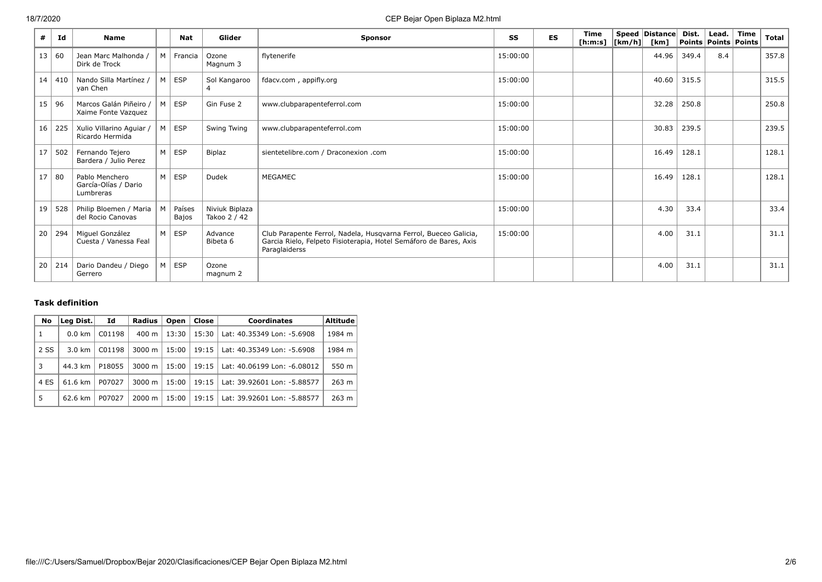| #               | Id    | <b>Name</b>                                         |                | <b>Nat</b>             | Glider                         | <b>Sponsor</b>                                                                                                                                         | SS       | ES | Time<br>[h:m:s] $ [km/h] $ | Speed Distance Dist.<br>[km] |       | Points   Points   Points | Lead. $ $ Time | <b>Total</b> |
|-----------------|-------|-----------------------------------------------------|----------------|------------------------|--------------------------------|--------------------------------------------------------------------------------------------------------------------------------------------------------|----------|----|----------------------------|------------------------------|-------|--------------------------|----------------|--------------|
| 13              | 60    | Jean Marc Malhonda /<br>Dirk de Trock               |                | M   Francia            | Ozone<br>Magnum 3              | flytenerife                                                                                                                                            | 15:00:00 |    |                            | 44.96                        | 349.4 | 8.4                      |                | 357.8        |
| 14 <sup>1</sup> | 410   | Nando Silla Martínez /<br>yan Chen                  | $M \mid$       | ESP                    | Sol Kangaroo                   | fdacv.com, appifly.org                                                                                                                                 | 15:00:00 |    |                            | 40.60                        | 315.5 |                          |                | 315.5        |
|                 | 15 96 | Marcos Galán Piñeiro /<br>Xaime Fonte Vazquez       | M              | <b>ESP</b>             | Gin Fuse 2                     | www.clubparapenteferrol.com                                                                                                                            | 15:00:00 |    |                            | 32.28                        | 250.8 |                          |                | 250.8        |
| 16              | 225   | Xulio Villarino Aguiar /<br>Ricardo Hermida         | мI             | ESP                    | Swing Twing                    | www.clubparapenteferrol.com                                                                                                                            | 15:00:00 |    |                            | 30.83                        | 239.5 |                          |                | 239.5        |
| 17 <sup>1</sup> | 502   | Fernando Tejero<br>Bardera / Julio Perez            | M              | ESP                    | Biplaz                         | sientetelibre.com / Draconexion .com                                                                                                                   | 15:00:00 |    |                            | 16.49                        | 128.1 |                          |                | 128.1        |
| 17 <sup>1</sup> | 80    | Pablo Menchero<br>García-Olías / Dario<br>Lumbreras | - M            | ESP                    | Dudek                          | MEGAMEC                                                                                                                                                | 15:00:00 |    |                            | 16.49                        | 128.1 |                          |                | 128.1        |
| 19              | 528   | Philip Bloemen / Maria<br>del Rocio Canovas         | м              | Países<br><b>Bajos</b> | Niviuk Biplaza<br>Takoo 2 / 42 |                                                                                                                                                        | 15:00:00 |    |                            | 4.30                         | 33.4  |                          |                | 33.4         |
| 20              | 294   | Miguel González<br>Cuesta / Vanessa Feal            | M <sub>1</sub> | ESP                    | Advance<br>Bibeta 6            | Club Parapente Ferrol, Nadela, Husqvarna Ferrol, Bueceo Galicia,<br>Garcia Rielo, Felpeto Fisioterapia, Hotel Semáforo de Bares, Axis<br>Paraglaiderss | 15:00:00 |    |                            | 4.00                         | 31.1  |                          |                | 31.1         |
| 20 <sub>1</sub> |       | 214   Dario Dandeu / Diego<br>Gerrero               | м              | ESP                    | Ozone<br>magnum 2              |                                                                                                                                                        |          |    |                            | 4.00                         | 31.1  |                          |                | 31.1         |

## **Task definition**

| No   | Leg Dist.        | Id     | Radius             | Open  | Close | <b>Coordinates</b>          | <b>Altitude</b> |
|------|------------------|--------|--------------------|-------|-------|-----------------------------|-----------------|
| 1    | $0.0 \text{ km}$ | C01198 | 400 m              | 13:30 | 15:30 | Lat: 40.35349 Lon: -5.6908  | 1984 m          |
| 2 SS | $3.0 \text{ km}$ | C01198 | $3000 \; \text{m}$ | 15:00 | 19:15 | Lat: 40.35349 Lon: -5.6908  | 1984 m          |
| 3    | 44.3 km          | P18055 | $3000 \; \text{m}$ | 15:00 | 19:15 | Lat: 40.06199 Lon: -6.08012 | 550 m           |
| 4 ES | 61.6 km          | P07027 | $3000 \; \text{m}$ | 15:00 | 19:15 | Lat: 39.92601 Lon: -5.88577 | 263 m           |
| 5    | 62.6 km          | P07027 | $2000 \; \text{m}$ | 15:00 | 19:15 | Lat: 39.92601 Lon: -5.88577 | 263 m           |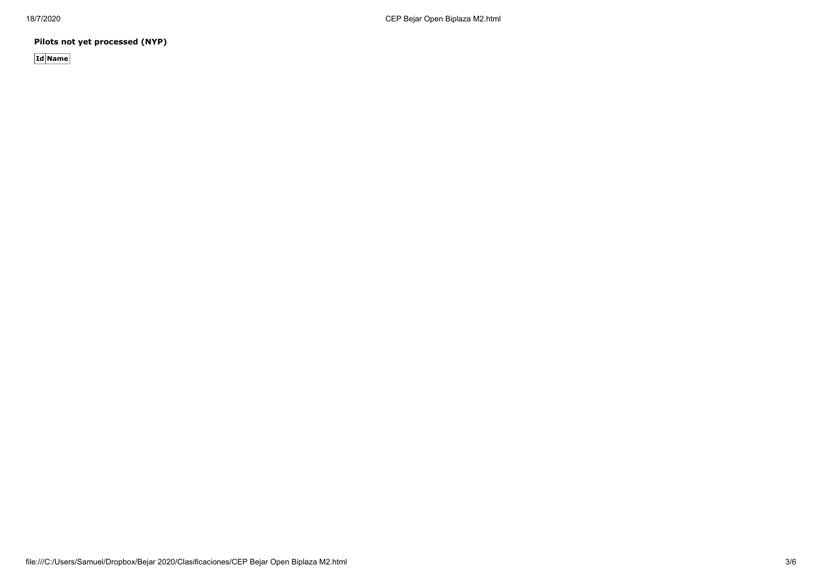**Pilots not yet processed (NYP)**

**Id Name**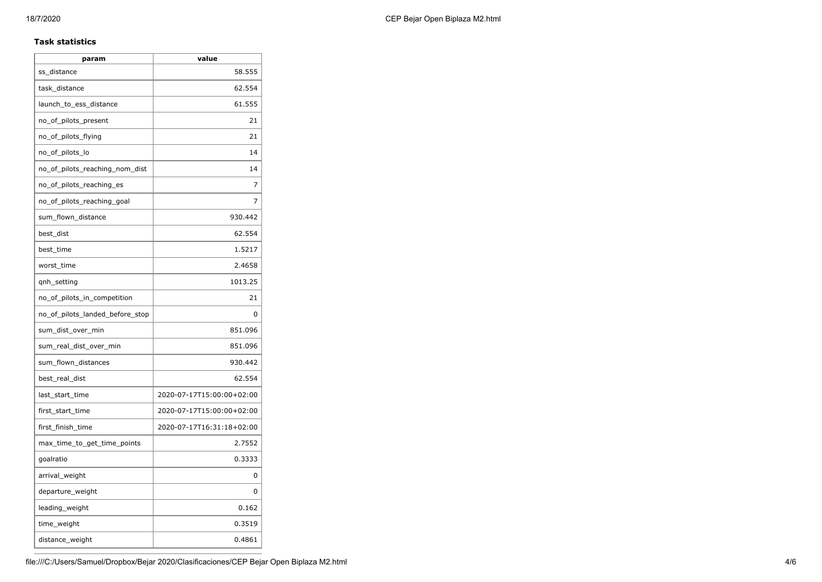### **Task statistics**

| param                           | value                     |
|---------------------------------|---------------------------|
| ss_distance                     | 58.555                    |
| task_distance                   | 62.554                    |
| launch_to_ess_distance          | 61.555                    |
| no_of_pilots_present            | 21                        |
| no_of_pilots_flying             | 21                        |
| no_of_pilots_lo                 | 14                        |
| no_of_pilots_reaching_nom_dist  | 14                        |
| no_of_pilots_reaching_es        | 7                         |
| no of pilots reaching goal      | 7                         |
| sum_flown_distance              | 930.442                   |
| best_dist                       | 62.554                    |
| best_time                       | 1.5217                    |
| worst_time                      | 2.4658                    |
| qnh_setting                     | 1013.25                   |
| no_of_pilots_in_competition     | 21                        |
| no_of_pilots_landed_before_stop | 0                         |
| sum_dist_over_min               | 851.096                   |
| sum_real_dist_over_min          | 851.096                   |
| sum_flown_distances             | 930.442                   |
| best_real_dist                  | 62.554                    |
| last_start_time                 | 2020-07-17T15:00:00+02:00 |
| first_start_time                | 2020-07-17T15:00:00+02:00 |
| first_finish_time               | 2020-07-17T16:31:18+02:00 |
| max_time_to_get_time_points     | 2.7552                    |
| goalratio                       | 0.3333                    |
| arrival_weight                  | 0                         |
| departure_weight                | 0                         |
| leading_weight                  | 0.162                     |
| time_weight                     | 0.3519                    |
| distance_weight                 | 0.4861                    |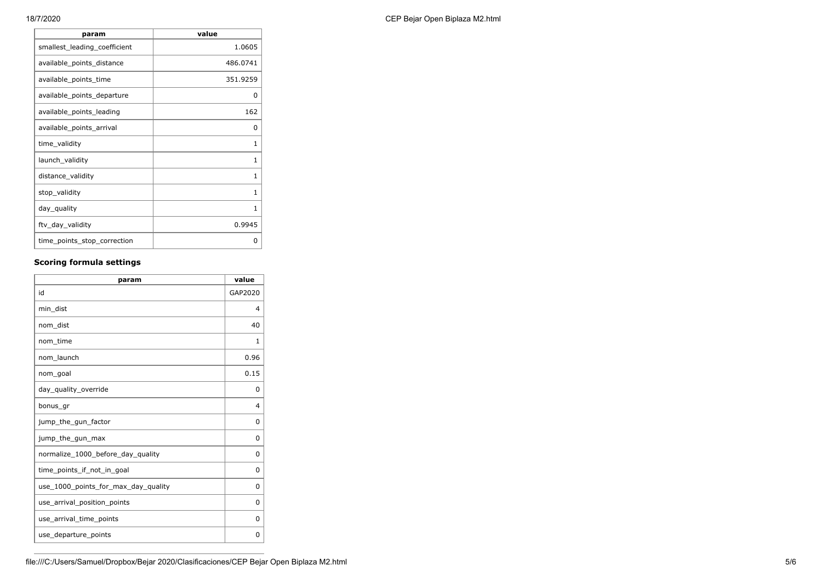| param                        | value        |
|------------------------------|--------------|
| smallest_leading_coefficient | 1.0605       |
| available_points_distance    | 486.0741     |
| available_points_time        | 351.9259     |
| available_points_departure   | 0            |
| available_points_leading     | 162          |
| available_points_arrival     | 0            |
| time_validity                | 1            |
| launch_validity              | 1            |
| distance_validity            | $\mathbf{1}$ |
| stop_validity                | 1            |
| day_quality                  | 1            |
| ftv_day_validity             | 0.9945       |
| time_points_stop_correction  | O            |

## **Scoring formula settings**

| param                               | value          |
|-------------------------------------|----------------|
| id                                  | GAP2020        |
| min dist                            | 4              |
| nom dist                            | 40             |
| nom_time                            | 1              |
| nom launch                          | 0.96           |
| nom_goal                            | 0.15           |
| day_quality_override                | 0              |
| bonus_gr                            | $\overline{4}$ |
| jump_the_gun_factor                 | 0              |
| jump_the_gun_max                    | 0              |
| normalize_1000_before_day_quality   | 0              |
| time points if not in goal          | 0              |
| use_1000_points_for_max_day_quality | 0              |
| use_arrival_position_points         | 0              |
| use_arrival_time_points             | 0              |
| use_departure_points                | 0              |